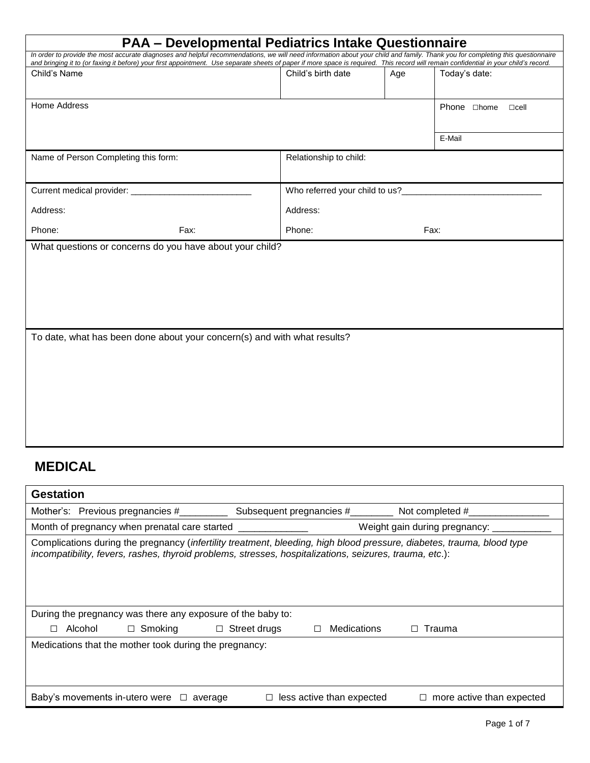| <b>PAA - Developmental Pediatrics Intake Questionnaire</b> |                                                                          |                                                                                                                                                                                                                                                                                                                                                                                                                   |  |  |  |
|------------------------------------------------------------|--------------------------------------------------------------------------|-------------------------------------------------------------------------------------------------------------------------------------------------------------------------------------------------------------------------------------------------------------------------------------------------------------------------------------------------------------------------------------------------------------------|--|--|--|
|                                                            |                                                                          |                                                                                                                                                                                                                                                                                                                                                                                                                   |  |  |  |
| Child's birth date                                         | Age                                                                      | Today's date:                                                                                                                                                                                                                                                                                                                                                                                                     |  |  |  |
|                                                            |                                                                          |                                                                                                                                                                                                                                                                                                                                                                                                                   |  |  |  |
|                                                            |                                                                          | Phone □home<br>$\sqcap$ cell                                                                                                                                                                                                                                                                                                                                                                                      |  |  |  |
|                                                            |                                                                          |                                                                                                                                                                                                                                                                                                                                                                                                                   |  |  |  |
|                                                            |                                                                          | E-Mail                                                                                                                                                                                                                                                                                                                                                                                                            |  |  |  |
| Relationship to child:                                     |                                                                          |                                                                                                                                                                                                                                                                                                                                                                                                                   |  |  |  |
|                                                            |                                                                          |                                                                                                                                                                                                                                                                                                                                                                                                                   |  |  |  |
|                                                            |                                                                          |                                                                                                                                                                                                                                                                                                                                                                                                                   |  |  |  |
| Address:                                                   |                                                                          |                                                                                                                                                                                                                                                                                                                                                                                                                   |  |  |  |
| Phone:                                                     | Fax:                                                                     |                                                                                                                                                                                                                                                                                                                                                                                                                   |  |  |  |
|                                                            |                                                                          |                                                                                                                                                                                                                                                                                                                                                                                                                   |  |  |  |
|                                                            |                                                                          |                                                                                                                                                                                                                                                                                                                                                                                                                   |  |  |  |
|                                                            |                                                                          |                                                                                                                                                                                                                                                                                                                                                                                                                   |  |  |  |
|                                                            |                                                                          |                                                                                                                                                                                                                                                                                                                                                                                                                   |  |  |  |
|                                                            |                                                                          |                                                                                                                                                                                                                                                                                                                                                                                                                   |  |  |  |
|                                                            |                                                                          |                                                                                                                                                                                                                                                                                                                                                                                                                   |  |  |  |
|                                                            |                                                                          |                                                                                                                                                                                                                                                                                                                                                                                                                   |  |  |  |
|                                                            |                                                                          |                                                                                                                                                                                                                                                                                                                                                                                                                   |  |  |  |
|                                                            |                                                                          |                                                                                                                                                                                                                                                                                                                                                                                                                   |  |  |  |
|                                                            |                                                                          |                                                                                                                                                                                                                                                                                                                                                                                                                   |  |  |  |
|                                                            |                                                                          |                                                                                                                                                                                                                                                                                                                                                                                                                   |  |  |  |
|                                                            |                                                                          |                                                                                                                                                                                                                                                                                                                                                                                                                   |  |  |  |
|                                                            | To date, what has been done about your concern(s) and with what results? | In order to provide the most accurate diagnoses and helpful recommendations, we will need information about your child and family. Thank you for completing this questionnaire<br>and bringing it to (or faxing it before) your first appointment. Use separate sheets of paper if more space is required. This record will remain confidential in your child's record.<br>Who referred your child to us?________ |  |  |  |

# **MEDICAL**

| <b>Gestation</b>                                                                                                                                                                                                                  |                                                       |                                     |  |  |  |  |  |
|-----------------------------------------------------------------------------------------------------------------------------------------------------------------------------------------------------------------------------------|-------------------------------------------------------|-------------------------------------|--|--|--|--|--|
| Mother's: Previous pregnancies #                                                                                                                                                                                                  | Subsequent pregnancies #________<br>Not completed $#$ |                                     |  |  |  |  |  |
| Month of pregnancy when prenatal care started<br>Weight gain during pregnancy: __                                                                                                                                                 |                                                       |                                     |  |  |  |  |  |
| Complications during the pregnancy (infertility treatment, bleeding, high blood pressure, diabetes, trauma, blood type<br>incompatibility, fevers, rashes, thyroid problems, stresses, hospitalizations, seizures, trauma, etc.): |                                                       |                                     |  |  |  |  |  |
| During the pregnancy was there any exposure of the baby to:                                                                                                                                                                       |                                                       |                                     |  |  |  |  |  |
| $\Box$ Smoking $\Box$ Street drugs<br>Alcohol<br>П                                                                                                                                                                                | Medications<br>П                                      | Trauma                              |  |  |  |  |  |
| Medications that the mother took during the pregnancy:                                                                                                                                                                            |                                                       |                                     |  |  |  |  |  |
| Baby's movements in-utero were $\Box$ average                                                                                                                                                                                     | less active than expected                             | more active than expected<br>$\Box$ |  |  |  |  |  |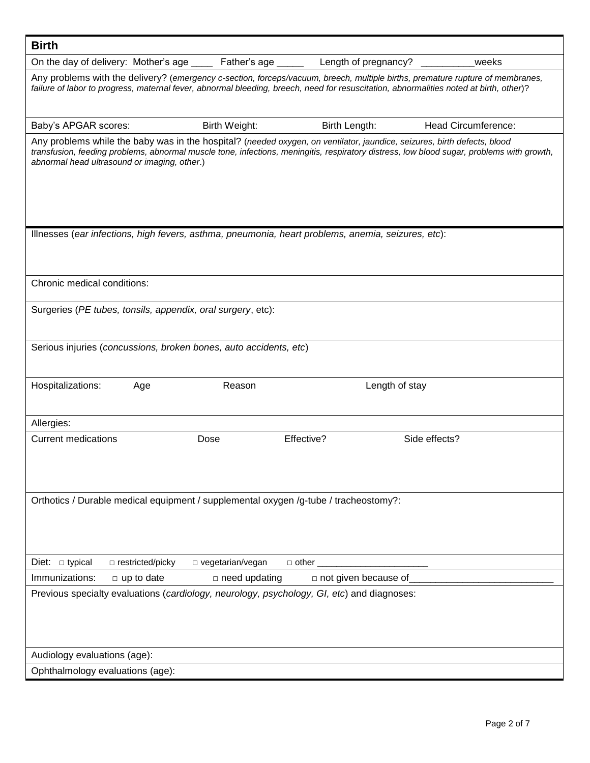| <b>Birth</b>                     |                                              |                                                                                                    |              |                             |                                                                                                                                                                                                                                                                          |
|----------------------------------|----------------------------------------------|----------------------------------------------------------------------------------------------------|--------------|-----------------------------|--------------------------------------------------------------------------------------------------------------------------------------------------------------------------------------------------------------------------------------------------------------------------|
|                                  | On the day of delivery: Mother's age         | Father's age _____                                                                                 |              | Length of pregnancy?        | weeks                                                                                                                                                                                                                                                                    |
|                                  |                                              |                                                                                                    |              |                             | Any problems with the delivery? (emergency c-section, forceps/vacuum, breech, multiple births, premature rupture of membranes,<br>failure of labor to progress, maternal fever, abnormal bleeding, breech, need for resuscitation, abnormalities noted at birth, other)? |
| Baby's APGAR scores:             |                                              | Birth Weight:                                                                                      |              | Birth Length:               | <b>Head Circumference:</b>                                                                                                                                                                                                                                               |
|                                  | abnormal head ultrasound or imaging, other.) |                                                                                                    |              |                             | Any problems while the baby was in the hospital? (needed oxygen, on ventilator, jaundice, seizures, birth defects, blood<br>transfusion, feeding problems, abnormal muscle tone, infections, meningitis, respiratory distress, low blood sugar, problems with growth,    |
|                                  |                                              | Illnesses (ear infections, high fevers, asthma, pneumonia, heart problems, anemia, seizures, etc): |              |                             |                                                                                                                                                                                                                                                                          |
| Chronic medical conditions:      |                                              |                                                                                                    |              |                             |                                                                                                                                                                                                                                                                          |
|                                  |                                              | Surgeries (PE tubes, tonsils, appendix, oral surgery, etc):                                        |              |                             |                                                                                                                                                                                                                                                                          |
|                                  |                                              | Serious injuries (concussions, broken bones, auto accidents, etc)                                  |              |                             |                                                                                                                                                                                                                                                                          |
| Hospitalizations:                | Age                                          | Reason                                                                                             |              | Length of stay              |                                                                                                                                                                                                                                                                          |
| Allergies:                       |                                              |                                                                                                    |              |                             |                                                                                                                                                                                                                                                                          |
| <b>Current medications</b>       |                                              | Dose                                                                                               | Effective?   |                             | Side effects?                                                                                                                                                                                                                                                            |
|                                  |                                              | Orthotics / Durable medical equipment / supplemental oxygen /g-tube / tracheostomy?:               |              |                             |                                                                                                                                                                                                                                                                          |
| $\Box$ typical<br>Diet:          | □ restricted/picky                           | $\Box$ vegetarian/vegan                                                                            | $\Box$ other |                             |                                                                                                                                                                                                                                                                          |
| Immunizations:                   | $\Box$ up to date                            | $\Box$ need updating                                                                               |              | $\Box$ not given because of |                                                                                                                                                                                                                                                                          |
|                                  |                                              | Previous specialty evaluations (cardiology, neurology, psychology, GI, etc) and diagnoses:         |              |                             |                                                                                                                                                                                                                                                                          |
| Audiology evaluations (age):     |                                              |                                                                                                    |              |                             |                                                                                                                                                                                                                                                                          |
| Ophthalmology evaluations (age): |                                              |                                                                                                    |              |                             |                                                                                                                                                                                                                                                                          |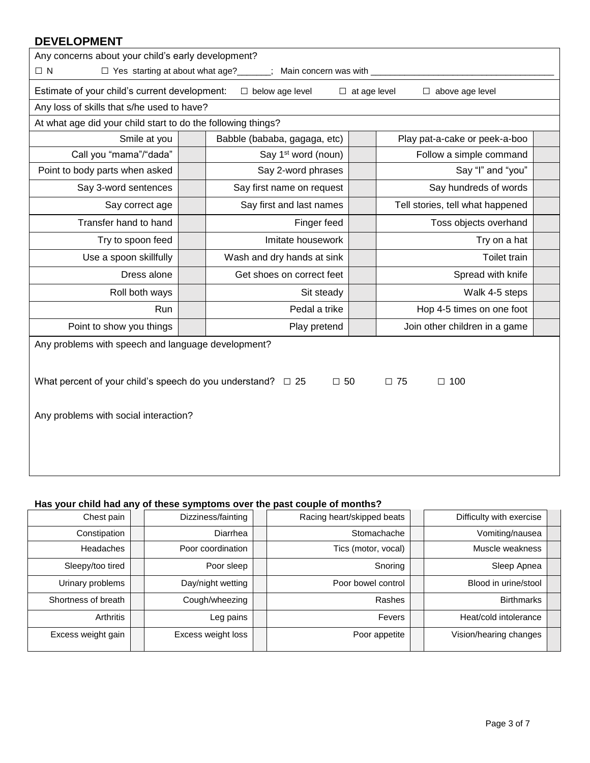| <b>DEVELOPMENT</b>                                               |  |                                                                                   |                     |                                  |  |  |  |  |  |
|------------------------------------------------------------------|--|-----------------------------------------------------------------------------------|---------------------|----------------------------------|--|--|--|--|--|
| Any concerns about your child's early development?               |  |                                                                                   |                     |                                  |  |  |  |  |  |
| $\Box$ N                                                         |  | □ Yes starting at about what age?<br><sub> </sub><br>$\Box$ Main concern was with |                     |                                  |  |  |  |  |  |
| Estimate of your child's current development:                    |  | $\Box$ below age level                                                            | $\Box$ at age level | $\Box$ above age level           |  |  |  |  |  |
| Any loss of skills that s/he used to have?                       |  |                                                                                   |                     |                                  |  |  |  |  |  |
| At what age did your child start to do the following things?     |  |                                                                                   |                     |                                  |  |  |  |  |  |
| Smile at you                                                     |  | Babble (bababa, gagaga, etc)                                                      |                     | Play pat-a-cake or peek-a-boo    |  |  |  |  |  |
| Call you "mama"/"dada"                                           |  | Say 1 <sup>st</sup> word (noun)                                                   |                     | Follow a simple command          |  |  |  |  |  |
| Point to body parts when asked                                   |  | Say 2-word phrases                                                                |                     | Say "I" and "you"                |  |  |  |  |  |
| Say 3-word sentences                                             |  | Say first name on request                                                         |                     | Say hundreds of words            |  |  |  |  |  |
| Say correct age                                                  |  | Say first and last names                                                          |                     | Tell stories, tell what happened |  |  |  |  |  |
| Transfer hand to hand                                            |  | Finger feed                                                                       |                     | Toss objects overhand            |  |  |  |  |  |
| Try to spoon feed                                                |  | Imitate housework                                                                 |                     | Try on a hat                     |  |  |  |  |  |
| Use a spoon skillfully                                           |  | Wash and dry hands at sink                                                        |                     | Toilet train                     |  |  |  |  |  |
| Dress alone                                                      |  | Get shoes on correct feet                                                         |                     | Spread with knife                |  |  |  |  |  |
| Roll both ways                                                   |  | Sit steady                                                                        |                     | Walk 4-5 steps                   |  |  |  |  |  |
| Run                                                              |  | Pedal a trike                                                                     |                     | Hop 4-5 times on one foot        |  |  |  |  |  |
| Point to show you things                                         |  | Play pretend                                                                      |                     | Join other children in a game    |  |  |  |  |  |
| Any problems with speech and language development?               |  |                                                                                   |                     |                                  |  |  |  |  |  |
|                                                                  |  |                                                                                   |                     |                                  |  |  |  |  |  |
| What percent of your child's speech do you understand? $\Box$ 25 |  | $\square$ 50                                                                      |                     | $\square$ 75<br>$\square$ 100    |  |  |  |  |  |
|                                                                  |  |                                                                                   |                     |                                  |  |  |  |  |  |
| Any problems with social interaction?                            |  |                                                                                   |                     |                                  |  |  |  |  |  |
|                                                                  |  |                                                                                   |                     |                                  |  |  |  |  |  |
|                                                                  |  |                                                                                   |                     |                                  |  |  |  |  |  |
|                                                                  |  |                                                                                   |                     |                                  |  |  |  |  |  |
|                                                                  |  |                                                                                   |                     |                                  |  |  |  |  |  |

#### **Has your child had any of these symptoms over the past couple of months?**

| Chest pain          | Dizziness/fainting | Racing heart/skipped beats |  | Difficulty with exercise |  |
|---------------------|--------------------|----------------------------|--|--------------------------|--|
| Constipation        | Diarrhea           | Stomachache                |  | Vomiting/nausea          |  |
| Headaches           | Poor coordination  | Tics (motor, vocal)        |  | Muscle weakness          |  |
| Sleepy/too tired    | Poor sleep         | Snoring                    |  | Sleep Apnea              |  |
| Urinary problems    | Day/night wetting  | Poor bowel control         |  | Blood in urine/stool     |  |
| Shortness of breath | Cough/wheezing     | Rashes                     |  | <b>Birthmarks</b>        |  |
| <b>Arthritis</b>    | Leg pains          | Fevers                     |  | Heat/cold intolerance    |  |
| Excess weight gain  | Excess weight loss | Poor appetite              |  | Vision/hearing changes   |  |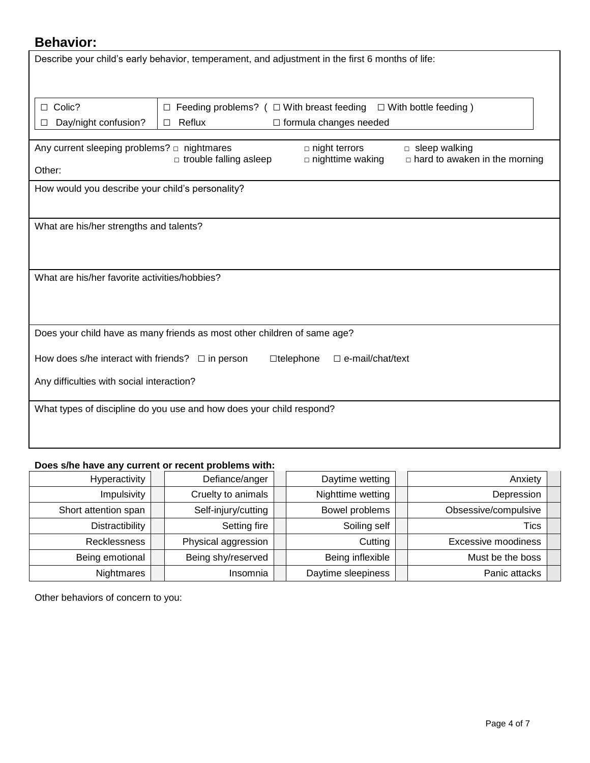# **Behavior:**

|                                                       | Describe your child's early behavior, temperament, and adjustment in the first 6 months of life: |                                             |                                      |  |  |  |
|-------------------------------------------------------|--------------------------------------------------------------------------------------------------|---------------------------------------------|--------------------------------------|--|--|--|
|                                                       |                                                                                                  |                                             |                                      |  |  |  |
| $\Box$ Colic?                                         | Feeding problems? $( \Box$ With breast feeding<br>$\Box$                                         |                                             | $\Box$ With bottle feeding)          |  |  |  |
| Day/night confusion?                                  | Reflux<br>□                                                                                      | $\Box$ formula changes needed               |                                      |  |  |  |
|                                                       |                                                                                                  | $\Box$ night terrors                        | $\Box$ sleep walking                 |  |  |  |
| Other:                                                | $\Box$ trouble falling asleep                                                                    | $\square$ nighttime waking                  | $\Box$ hard to awaken in the morning |  |  |  |
| How would you describe your child's personality?      |                                                                                                  |                                             |                                      |  |  |  |
|                                                       |                                                                                                  |                                             |                                      |  |  |  |
| What are his/her strengths and talents?               |                                                                                                  |                                             |                                      |  |  |  |
|                                                       |                                                                                                  |                                             |                                      |  |  |  |
| What are his/her favorite activities/hobbies?         |                                                                                                  |                                             |                                      |  |  |  |
|                                                       |                                                                                                  |                                             |                                      |  |  |  |
|                                                       |                                                                                                  |                                             |                                      |  |  |  |
|                                                       | Does your child have as many friends as most other children of same age?                         |                                             |                                      |  |  |  |
| How does s/he interact with friends? $\Box$ in person |                                                                                                  | $\Box$ e-mail/chat/text<br>$\Box$ telephone |                                      |  |  |  |
| Any difficulties with social interaction?             |                                                                                                  |                                             |                                      |  |  |  |
|                                                       | What types of discipline do you use and how does your child respond?                             |                                             |                                      |  |  |  |
|                                                       |                                                                                                  |                                             |                                      |  |  |  |
|                                                       |                                                                                                  |                                             |                                      |  |  |  |

#### **Does s/he have any current or recent problems with:**

| Hyperactivity        | Defiance/anger      | Daytime wetting    | Anxiety              |
|----------------------|---------------------|--------------------|----------------------|
| Impulsivity          | Cruelty to animals  | Nighttime wetting  | Depression           |
| Short attention span | Self-injury/cutting | Bowel problems     | Obsessive/compulsive |
| Distractibility      | Setting fire        | Soiling self       | <b>Tics</b>          |
| Recklessness         | Physical aggression | Cutting            | Excessive moodiness  |
| Being emotional      | Being shy/reserved  | Being inflexible   | Must be the boss     |
| Nightmares           | Insomnia            | Daytime sleepiness | Panic attacks        |

Other behaviors of concern to you: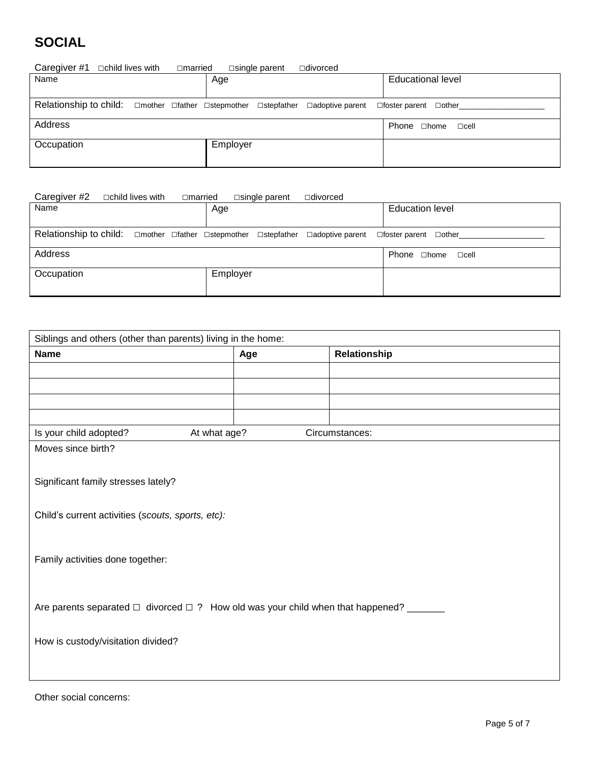# **SOCIAL**

| Caregiver #1<br>□child lives with<br>□married                                                                 | $\square$ single parent<br>$\Box$ divorced |                                   |
|---------------------------------------------------------------------------------------------------------------|--------------------------------------------|-----------------------------------|
| Name                                                                                                          | Age                                        | <b>Educational level</b>          |
|                                                                                                               |                                            |                                   |
| Relationship to child: $\Box$ mother $\Box$ father $\Box$ stepmother $\Box$ stepfather $\Box$ adoptive parent |                                            | $\Box$ foster parent $\Box$ other |
| Address                                                                                                       |                                            | Phone □home<br>$\Box$ cell        |
| Occupation                                                                                                    | Employer                                   |                                   |
|                                                                                                               |                                            |                                   |

| Caregiver #2 | $\Box$ child lives with | $\Box$ married                                                                                                | $\square$ single parent | □divorced |                                   |
|--------------|-------------------------|---------------------------------------------------------------------------------------------------------------|-------------------------|-----------|-----------------------------------|
| Name         |                         | Age                                                                                                           |                         |           | <b>Education level</b>            |
|              |                         |                                                                                                               |                         |           |                                   |
|              |                         | Relationship to child: $\Box$ mother $\Box$ father $\Box$ stepmother $\Box$ stepfather $\Box$ adoptive parent |                         |           | $\Box$ foster parent $\Box$ other |
| Address      |                         |                                                                                                               |                         |           | Phone □home<br>$\sqcap$ cell      |
| Occupation   |                         | Employer                                                                                                      |                         |           |                                   |
|              |                         |                                                                                                               |                         |           |                                   |

| Siblings and others (other than parents) living in the home:                                     |              |                |  |  |  |  |
|--------------------------------------------------------------------------------------------------|--------------|----------------|--|--|--|--|
| <b>Name</b>                                                                                      | Age          | Relationship   |  |  |  |  |
|                                                                                                  |              |                |  |  |  |  |
|                                                                                                  |              |                |  |  |  |  |
|                                                                                                  |              |                |  |  |  |  |
|                                                                                                  |              |                |  |  |  |  |
| Is your child adopted?                                                                           | At what age? | Circumstances: |  |  |  |  |
| Moves since birth?                                                                               |              |                |  |  |  |  |
|                                                                                                  |              |                |  |  |  |  |
| Significant family stresses lately?                                                              |              |                |  |  |  |  |
|                                                                                                  |              |                |  |  |  |  |
| Child's current activities (scouts, sports, etc):                                                |              |                |  |  |  |  |
|                                                                                                  |              |                |  |  |  |  |
|                                                                                                  |              |                |  |  |  |  |
| Family activities done together:                                                                 |              |                |  |  |  |  |
|                                                                                                  |              |                |  |  |  |  |
|                                                                                                  |              |                |  |  |  |  |
| Are parents separated $\Box$ divorced $\Box$ ? How old was your child when that happened? ______ |              |                |  |  |  |  |
|                                                                                                  |              |                |  |  |  |  |
| How is custody/visitation divided?                                                               |              |                |  |  |  |  |
|                                                                                                  |              |                |  |  |  |  |
|                                                                                                  |              |                |  |  |  |  |

Other social concerns: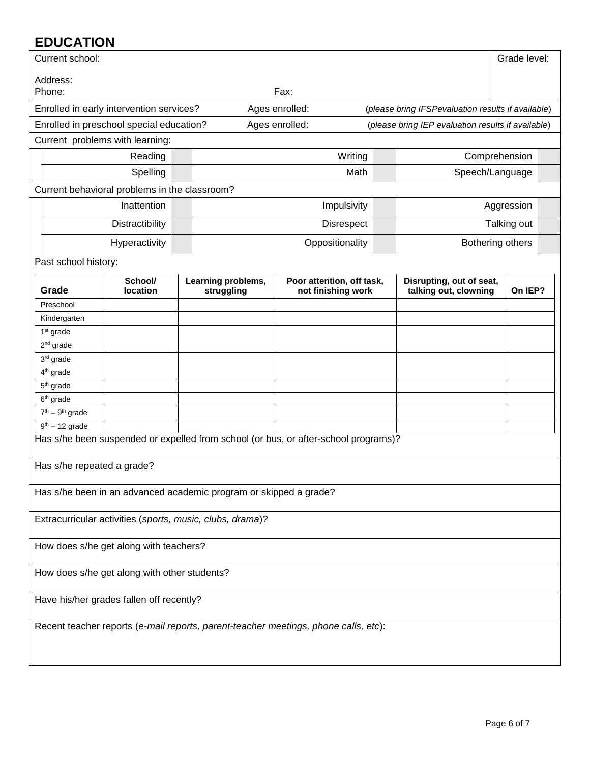# **EDUCATION**

| EDUCATION             |                                               |                                                                   |                                                                                     |                                                    |                  |  |
|-----------------------|-----------------------------------------------|-------------------------------------------------------------------|-------------------------------------------------------------------------------------|----------------------------------------------------|------------------|--|
| Current school:       |                                               |                                                                   |                                                                                     |                                                    | Grade level:     |  |
|                       |                                               |                                                                   |                                                                                     |                                                    |                  |  |
| Address:<br>Phone:    |                                               |                                                                   | Fax:                                                                                |                                                    |                  |  |
|                       | Enrolled in early intervention services?      |                                                                   | Ages enrolled:                                                                      | (please bring IFSPevaluation results if available) |                  |  |
|                       | Enrolled in preschool special education?      |                                                                   | Ages enrolled:                                                                      | (please bring IEP evaluation results if available) |                  |  |
|                       |                                               |                                                                   |                                                                                     |                                                    |                  |  |
|                       | Current problems with learning:               |                                                                   |                                                                                     |                                                    |                  |  |
|                       | Reading                                       |                                                                   | Writing                                                                             |                                                    | Comprehension    |  |
|                       | Spelling                                      |                                                                   | Math                                                                                | Speech/Language                                    |                  |  |
|                       | Current behavioral problems in the classroom? |                                                                   |                                                                                     |                                                    |                  |  |
|                       | Inattention                                   |                                                                   | Impulsivity                                                                         |                                                    | Aggression       |  |
|                       | Distractibility                               |                                                                   | Disrespect                                                                          |                                                    | Talking out      |  |
|                       | Hyperactivity                                 |                                                                   | Oppositionality                                                                     |                                                    | Bothering others |  |
| Past school history:  |                                               |                                                                   |                                                                                     |                                                    |                  |  |
|                       | School/                                       | Learning problems,                                                | Poor attention, off task,                                                           | Disrupting, out of seat,                           |                  |  |
| Grade                 | <b>location</b>                               | struggling                                                        | not finishing work                                                                  | talking out, clowning                              | On IEP?          |  |
| Preschool             |                                               |                                                                   |                                                                                     |                                                    |                  |  |
| Kindergarten          |                                               |                                                                   |                                                                                     |                                                    |                  |  |
| 1 <sup>st</sup> grade |                                               |                                                                   |                                                                                     |                                                    |                  |  |
| $2nd$ grade           |                                               |                                                                   |                                                                                     |                                                    |                  |  |
| 3rd grade             |                                               |                                                                   |                                                                                     |                                                    |                  |  |
| 4 <sup>th</sup> grade |                                               |                                                                   |                                                                                     |                                                    |                  |  |
| 5 <sup>th</sup> grade |                                               |                                                                   |                                                                                     |                                                    |                  |  |
| $6th$ grade           |                                               |                                                                   |                                                                                     |                                                    |                  |  |
| $7th - 9th$ grade     |                                               |                                                                   |                                                                                     |                                                    |                  |  |
| $9th - 12$ grade      |                                               |                                                                   |                                                                                     |                                                    |                  |  |
|                       |                                               |                                                                   | Has s/he been suspended or expelled from school (or bus, or after-school programs)? |                                                    |                  |  |
|                       |                                               |                                                                   |                                                                                     |                                                    |                  |  |
|                       | Has s/he repeated a grade?                    |                                                                   |                                                                                     |                                                    |                  |  |
|                       |                                               | Has s/he been in an advanced academic program or skipped a grade? |                                                                                     |                                                    |                  |  |
|                       |                                               | Extracurricular activities (sports, music, clubs, drama)?         |                                                                                     |                                                    |                  |  |
|                       | How does s/he get along with teachers?        |                                                                   |                                                                                     |                                                    |                  |  |
|                       | How does s/he get along with other students?  |                                                                   |                                                                                     |                                                    |                  |  |
|                       | Have his/her grades fallen off recently?      |                                                                   |                                                                                     |                                                    |                  |  |
|                       |                                               |                                                                   | Recent teacher reports (e-mail reports, parent-teacher meetings, phone calls, etc): |                                                    |                  |  |
|                       |                                               |                                                                   |                                                                                     |                                                    |                  |  |
|                       |                                               |                                                                   |                                                                                     |                                                    |                  |  |